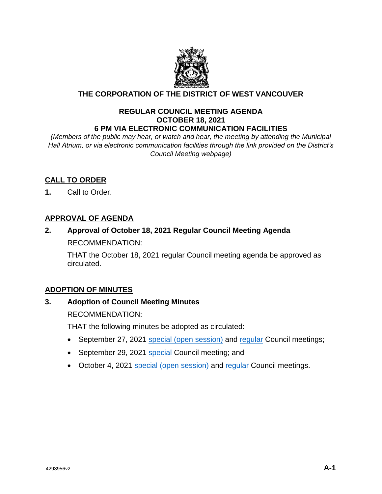

# **THE CORPORATION OF THE DISTRICT OF WEST VANCOUVER**

#### **REGULAR COUNCIL MEETING AGENDA OCTOBER 18, 2021 6 PM VIA ELECTRONIC COMMUNICATION FACILITIES**

*(Members of the public may hear, or watch and hear, the meeting by attending the Municipal Hall Atrium, or via electronic communication facilities through the link provided on the District's Council Meeting webpage)*

# **CALL TO ORDER**

**1.** Call to Order.

# **APPROVAL OF AGENDA**

# **2. Approval of October 18, 2021 Regular Council Meeting Agenda** RECOMMENDATION:

THAT the October 18, 2021 regular Council meeting agenda be approved as circulated.

# **ADOPTION OF MINUTES**

## **3. Adoption of Council Meeting Minutes**

RECOMMENDATION:

THAT the following minutes be adopted as circulated:

- September 27, 2021 [special \(open session\)](https://westvancouver.ca/sites/default/files/dwv/council-agendas/2021/oct/18/21oct18-3a.pdf) and [regular](https://westvancouver.ca/sites/default/files/dwv/council-agendas/2021/oct/18/21oct18-3b.pdf) Council meetings;
- September 29, 2021 [special](https://westvancouver.ca/sites/default/files/dwv/council-agendas/2021/oct/18/21oct18-3c.pdf) Council meeting; and
- October 4, 2021 [special \(open session\)](https://westvancouver.ca/sites/default/files/dwv/council-agendas/2021/oct/18/21oct18-3d.pdf) and [regular](https://westvancouver.ca/sites/default/files/dwv/council-agendas/2021/oct/18/21oct18-3e.pdf) Council meetings.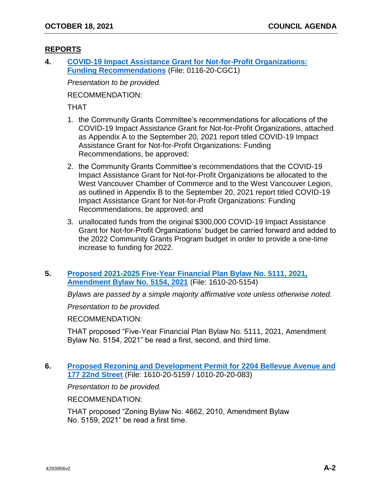# **REPORTS**

**4. [COVID-19 Impact Assistance Grant for Not-for-Profit Organizations:](https://westvancouver.ca/sites/default/files/dwv/council-agendas/2021/oct/18/21oct18-4.pdf)  [Funding Recommendations](https://westvancouver.ca/sites/default/files/dwv/council-agendas/2021/oct/18/21oct18-4.pdf)** (File: 0116-20-CGC1)

*Presentation to be provided.*

RECOMMENDATION:

THAT

- 1. the Community Grants Committee's recommendations for allocations of the COVID-19 Impact Assistance Grant for Not-for-Profit Organizations, attached as Appendix A to the September 20, 2021 report titled COVID-19 Impact Assistance Grant for Not-for-Profit Organizations: Funding Recommendations, be approved;
- 2. the Community Grants Committee's recommendations that the COVID-19 Impact Assistance Grant for Not-for-Profit Organizations be allocated to the West Vancouver Chamber of Commerce and to the West Vancouver Legion, as outlined in Appendix B to the September 20, 2021 report titled COVID-19 Impact Assistance Grant for Not-for-Profit Organizations: Funding Recommendations, be approved; and
- 3. unallocated funds from the original \$300,000 COVID-19 Impact Assistance Grant for Not-for-Profit Organizations' budget be carried forward and added to the 2022 Community Grants Program budget in order to provide a one-time increase to funding for 2022.

## **5. [Proposed 2021-2025 Five-Year Financial Plan Bylaw No. 5111, 2021,](https://westvancouver.ca/sites/default/files/dwv/council-agendas/2021/oct/18/21oct18-5.pdf)  [Amendment Bylaw No. 5154, 2021](https://westvancouver.ca/sites/default/files/dwv/council-agendas/2021/oct/18/21oct18-5.pdf)** (File: 1610-20-5154)

*Bylaws are passed by a simple majority affirmative vote unless otherwise noted.*

*Presentation to be provided.*

RECOMMENDATION:

THAT proposed "Five-Year Financial Plan Bylaw No. 5111, 2021, Amendment Bylaw No. 5154, 2021" be read a first, second, and third time.

## **6. Proposed Rezoning and [Development Permit for 2204 Bellevue Avenue and](https://westvancouver.ca/sites/default/files/dwv/council-agendas/2021/oct/18/21oct18-6.pdf)  [177 22nd Street](https://westvancouver.ca/sites/default/files/dwv/council-agendas/2021/oct/18/21oct18-6.pdf)** (File: 1610-20-5159 / 1010-20-20-083)

*Presentation to be provided.*

RECOMMENDATION:

THAT proposed "Zoning Bylaw No. 4662, 2010, Amendment Bylaw No. 5159, 2021" be read a first time.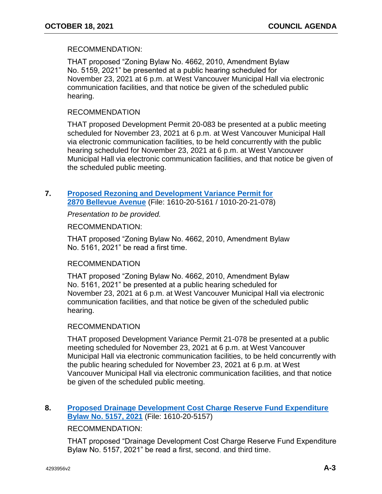### RECOMMENDATION:

THAT proposed "Zoning Bylaw No. 4662, 2010, Amendment Bylaw No. 5159, 2021" be presented at a public hearing scheduled for November 23, 2021 at 6 p.m. at West Vancouver Municipal Hall via electronic communication facilities, and that notice be given of the scheduled public hearing.

#### RECOMMENDATION

THAT proposed Development Permit 20-083 be presented at a public meeting scheduled for November 23, 2021 at 6 p.m. at West Vancouver Municipal Hall via electronic communication facilities, to be held concurrently with the public hearing scheduled for November 23, 2021 at 6 p.m. at West Vancouver Municipal Hall via electronic communication facilities, and that notice be given of the scheduled public meeting.

## **7. [Proposed Rezoning and Development Variance Permit for](https://westvancouver.ca/sites/default/files/dwv/council-agendas/2021/oct/18/21oct18-7.pdf)  [2870 Bellevue Avenue](https://westvancouver.ca/sites/default/files/dwv/council-agendas/2021/oct/18/21oct18-7.pdf)** (File: 1610-20-5161 / 1010-20-21-078)

*Presentation to be provided.*

RECOMMENDATION:

THAT proposed "Zoning Bylaw No. 4662, 2010, Amendment Bylaw No. 5161, 2021" be read a first time.

#### RECOMMENDATION

THAT proposed "Zoning Bylaw No. 4662, 2010, Amendment Bylaw No. 5161, 2021" be presented at a public hearing scheduled for November 23, 2021 at 6 p.m. at West Vancouver Municipal Hall via electronic communication facilities, and that notice be given of the scheduled public hearing.

## RECOMMENDATION

THAT proposed Development Variance Permit 21-078 be presented at a public meeting scheduled for November 23, 2021 at 6 p.m. at West Vancouver Municipal Hall via electronic communication facilities, to be held concurrently with the public hearing scheduled for November 23, 2021 at 6 p.m. at West Vancouver Municipal Hall via electronic communication facilities, and that notice be given of the scheduled public meeting.

### **8. [Proposed Drainage Development Cost Charge Reserve Fund Expenditure](https://westvancouver.ca/sites/default/files/dwv/council-agendas/2021/oct/18/21oct18-8.pdf)  [Bylaw No. 5157, 2021](https://westvancouver.ca/sites/default/files/dwv/council-agendas/2021/oct/18/21oct18-8.pdf)** (File: 1610-20-5157)

## RECOMMENDATION:

THAT proposed "Drainage Development Cost Charge Reserve Fund Expenditure Bylaw No. 5157, 2021" be read a first, second, and third time.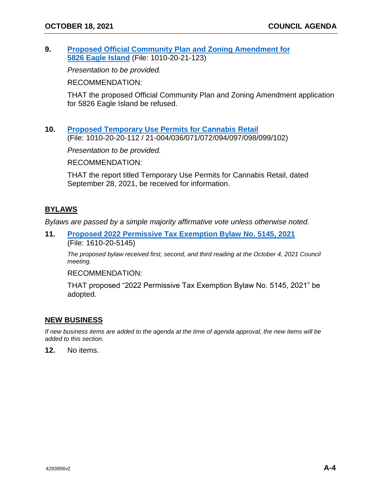**9. [Proposed Official Community Plan and Zoning Amendment for](https://westvancouver.ca/sites/default/files/dwv/council-agendas/2021/oct/18/21oct18-9.pdf)  [5826 Eagle Island](https://westvancouver.ca/sites/default/files/dwv/council-agendas/2021/oct/18/21oct18-9.pdf)** (File: 1010-20-21-123)

*Presentation to be provided.*

RECOMMENDATION:

THAT the proposed Official Community Plan and Zoning Amendment application for 5826 Eagle Island be refused.

**10. [Proposed Temporary Use Permits for Cannabis Retail](https://westvancouver.ca/sites/default/files/dwv/council-agendas/2021/oct/18/21oct18-10.pdf)** (File: 1010-20-20-112 / 21-004/036/071/072/094/097/098/099/102)

*Presentation to be provided.*

RECOMMENDATION:

THAT the report titled Temporary Use Permits for Cannabis Retail, dated September 28, 2021, be received for information.

## **BYLAWS**

*Bylaws are passed by a simple majority affirmative vote unless otherwise noted.* 

**11. [Proposed 2022 Permissive Tax Exemption Bylaw](https://westvancouver.ca/sites/default/files/dwv/council-agendas/2021/oct/18/21oct18-11.pdf) No. 5145, 2021** (File: 1610-20-5145)

*The proposed bylaw received first, second, and third reading at the October 4, 2021 Council meeting.*

RECOMMENDATION:

THAT proposed "2022 Permissive Tax Exemption Bylaw No. 5145, 2021" be adopted.

#### **NEW BUSINESS**

*If new business items are added to the agenda at the time of agenda approval, the new items will be added to this section.*

**12.** No items.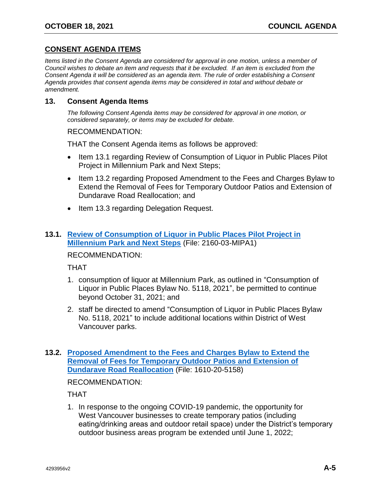# **CONSENT AGENDA ITEMS**

*Items listed in the Consent Agenda are considered for approval in one motion, unless a member of Council wishes to debate an item and requests that it be excluded. If an item is excluded from the Consent Agenda it will be considered as an agenda item. The rule of order establishing a Consent Agenda provides that consent agenda items may be considered in total and without debate or amendment.*

#### **13. Consent Agenda Items**

*The following Consent Agenda items may be considered for approval in one motion, or considered separately, or items may be excluded for debate.*

RECOMMENDATION:

THAT the Consent Agenda items as follows be approved:

- Item 13.1 regarding Review of Consumption of Liguor in Public Places Pilot Project in Millennium Park and Next Steps;
- Item 13.2 regarding Proposed Amendment to the Fees and Charges Bylaw to Extend the Removal of Fees for Temporary Outdoor Patios and Extension of Dundarave Road Reallocation; and
- Item 13.3 regarding Delegation Request.

# **13.1. [Review of Consumption of Liquor in Public Places Pilot Project in](https://westvancouver.ca/sites/default/files/dwv/council-agendas/2021/oct/18/21oct18-13.1.pdf)  [Millennium Park and Next Steps](https://westvancouver.ca/sites/default/files/dwv/council-agendas/2021/oct/18/21oct18-13.1.pdf)** (File: 2160-03-MIPA1)

# RECOMMENDATION:

THAT

- 1. consumption of liquor at Millennium Park, as outlined in "Consumption of Liquor in Public Places Bylaw No. 5118, 2021", be permitted to continue beyond October 31, 2021; and
- 2. staff be directed to amend "Consumption of Liquor in Public Places Bylaw No. 5118, 2021" to include additional locations within District of West Vancouver parks.

# **13.2. [Proposed Amendment to the Fees and Charges Bylaw to Extend the](https://westvancouver.ca/sites/default/files/dwv/council-agendas/2021/oct/18/21oct18-13.2.pdf)  [Removal of Fees for Temporary Outdoor Patios and Extension of](https://westvancouver.ca/sites/default/files/dwv/council-agendas/2021/oct/18/21oct18-13.2.pdf)  [Dundarave Road Reallocation](https://westvancouver.ca/sites/default/files/dwv/council-agendas/2021/oct/18/21oct18-13.2.pdf)** (File: 1610-20-5158)

RECOMMENDATION:

THAT

1. In response to the ongoing COVID-19 pandemic, the opportunity for West Vancouver businesses to create temporary patios (including eating/drinking areas and outdoor retail space) under the District's temporary outdoor business areas program be extended until June 1, 2022;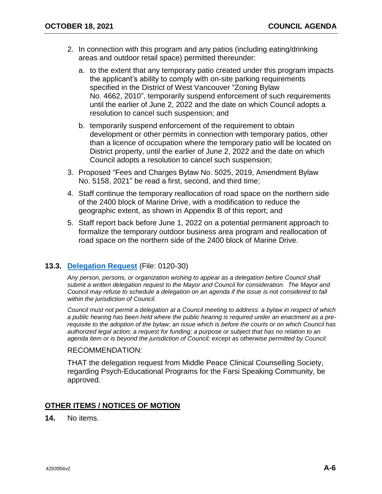- 2. In connection with this program and any patios (including eating/drinking areas and outdoor retail space) permitted thereunder:
	- a. to the extent that any temporary patio created under this program impacts the applicant's ability to comply with on-site parking requirements specified in the District of West Vancouver "Zoning Bylaw No. 4662, 2010", temporarily suspend enforcement of such requirements until the earlier of June 2, 2022 and the date on which Council adopts a resolution to cancel such suspension; and
	- b. temporarily suspend enforcement of the requirement to obtain development or other permits in connection with temporary patios, other than a licence of occupation where the temporary patio will be located on District property, until the earlier of June 2, 2022 and the date on which Council adopts a resolution to cancel such suspension;
- 3. Proposed "Fees and Charges Bylaw No. 5025, 2019, Amendment Bylaw No. 5158, 2021" be read a first, second, and third time;
- 4. Staff continue the temporary reallocation of road space on the northern side of the 2400 block of Marine Drive, with a modification to reduce the geographic extent, as shown in Appendix B of this report; and
- 5. Staff report back before June 1, 2022 on a potential permanent approach to formalize the temporary outdoor business area program and reallocation of road space on the northern side of the 2400 block of Marine Drive.

## **13.3. [Delegation Request](https://westvancouver.ca/sites/default/files/dwv/council-agendas/2021/oct/18/21oct18-13.3.pdf)** (File: 0120-30)

*Any person, persons, or organization wishing to appear as a delegation before Council shall submit a written delegation request to the Mayor and Council for consideration. The Mayor and Council may refuse to schedule a delegation on an agenda if the issue is not considered to fall within the jurisdiction of Council.*

*Council must not permit a delegation at a Council meeting to address: a bylaw in respect of which a public hearing has been held where the public hearing is required under an enactment as a prerequisite to the adoption of the bylaw; an issue which is before the courts or on which Council has authorized legal action; a request for funding; a purpose or subject that has no relation to an agenda item or is beyond the jurisdiction of Council; except as otherwise permitted by Council.*

#### RECOMMENDATION:

THAT the delegation request from Middle Peace Clinical Counselling Society, regarding Psych-Educational Programs for the Farsi Speaking Community, be approved.

### **OTHER ITEMS / NOTICES OF MOTION**

**14.** No items.